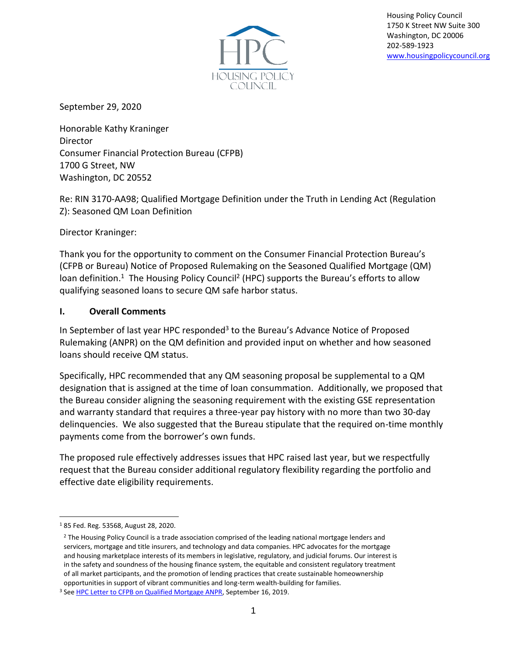

Housing Policy Council 1750 K Street NW Suite 300 Washington, DC 20006 202-589-1923 [www.housingpolicycouncil.org](http://www.housingpolicycouncil.org/)

September 29, 2020

Honorable Kathy Kraninger Director Consumer Financial Protection Bureau (CFPB) 1700 G Street, NW Washington, DC 20552

Re: RIN 3170-AA98; Qualified Mortgage Definition under the Truth in Lending Act (Regulation Z): Seasoned QM Loan Definition

Director Kraninger:

Thank you for the opportunity to comment on the Consumer Financial Protection Bureau's (CFPB or Bureau) Notice of Proposed Rulemaking on the Seasoned Qualified Mortgage (QM) loan definition.<sup>1</sup> The Housing Policy Council<sup>2</sup> (HPC) supports the Bureau's efforts to allow qualifying seasoned loans to secure QM safe harbor status.

#### **I. Overall Comments**

In September of last year HPC responded<sup>3</sup> to the Bureau's Advance Notice of Proposed Rulemaking (ANPR) on the QM definition and provided input on whether and how seasoned loans should receive QM status.

Specifically, HPC recommended that any QM seasoning proposal be supplemental to a QM designation that is assigned at the time of loan consummation. Additionally, we proposed that the Bureau consider aligning the seasoning requirement with the existing GSE representation and warranty standard that requires a three-year pay history with no more than two 30-day delinquencies. We also suggested that the Bureau stipulate that the required on-time monthly payments come from the borrower's own funds.

The proposed rule effectively addresses issues that HPC raised last year, but we respectfully request that the Bureau consider additional regulatory flexibility regarding the portfolio and effective date eligibility requirements.

<sup>1</sup> 85 Fed. Reg. 53568, August 28, 2020.

<sup>&</sup>lt;sup>2</sup> The Housing Policy Council is a trade association comprised of the leading national mortgage lenders and servicers, mortgage and title insurers, and technology and data companies. HPC advocates for the mortgage and housing marketplace interests of its members in legislative, regulatory, and judicial forums. Our interest is in the safety and soundness of the housing finance system, the equitable and consistent regulatory treatment of all market participants, and the promotion of lending practices that create sustainable homeownership opportunities in support of vibrant communities and long-term wealth-building for families.

<sup>&</sup>lt;sup>3</sup> See **HPC Letter to CFPB on Qualified Mortgage ANPR**, September 16, 2019.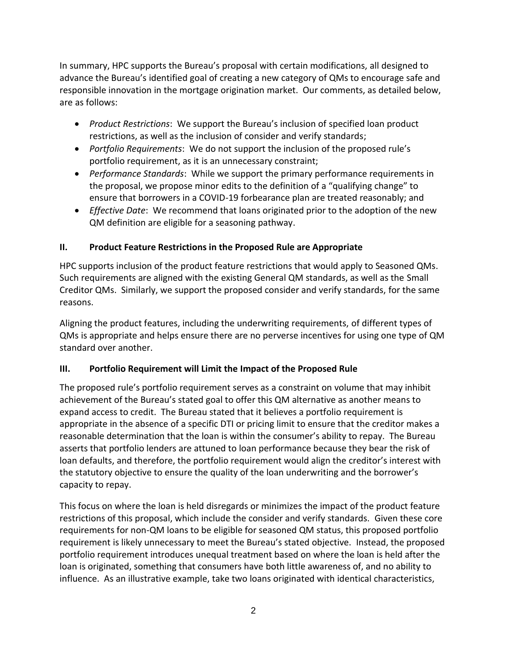In summary, HPC supports the Bureau's proposal with certain modifications, all designed to advance the Bureau's identified goal of creating a new category of QMs to encourage safe and responsible innovation in the mortgage origination market. Our comments, as detailed below, are as follows:

- *Product Restrictions*: We support the Bureau's inclusion of specified loan product restrictions, as well as the inclusion of consider and verify standards;
- *Portfolio Requirements*: We do not support the inclusion of the proposed rule's portfolio requirement, as it is an unnecessary constraint;
- *Performance Standards*: While we support the primary performance requirements in the proposal, we propose minor edits to the definition of a "qualifying change" to ensure that borrowers in a COVID-19 forbearance plan are treated reasonably; and
- *Effective Date*: We recommend that loans originated prior to the adoption of the new QM definition are eligible for a seasoning pathway.

# **II. Product Feature Restrictions in the Proposed Rule are Appropriate**

HPC supports inclusion of the product feature restrictions that would apply to Seasoned QMs. Such requirements are aligned with the existing General QM standards, as well as the Small Creditor QMs. Similarly, we support the proposed consider and verify standards, for the same reasons.

Aligning the product features, including the underwriting requirements, of different types of QMs is appropriate and helps ensure there are no perverse incentives for using one type of QM standard over another.

# **III. Portfolio Requirement will Limit the Impact of the Proposed Rule**

The proposed rule's portfolio requirement serves as a constraint on volume that may inhibit achievement of the Bureau's stated goal to offer this QM alternative as another means to expand access to credit. The Bureau stated that it believes a portfolio requirement is appropriate in the absence of a specific DTI or pricing limit to ensure that the creditor makes a reasonable determination that the loan is within the consumer's ability to repay. The Bureau asserts that portfolio lenders are attuned to loan performance because they bear the risk of loan defaults, and therefore, the portfolio requirement would align the creditor's interest with the statutory objective to ensure the quality of the loan underwriting and the borrower's capacity to repay.

This focus on where the loan is held disregards or minimizes the impact of the product feature restrictions of this proposal, which include the consider and verify standards. Given these core requirements for non-QM loans to be eligible for seasoned QM status, this proposed portfolio requirement is likely unnecessary to meet the Bureau's stated objective. Instead, the proposed portfolio requirement introduces unequal treatment based on where the loan is held after the loan is originated, something that consumers have both little awareness of, and no ability to influence. As an illustrative example, take two loans originated with identical characteristics,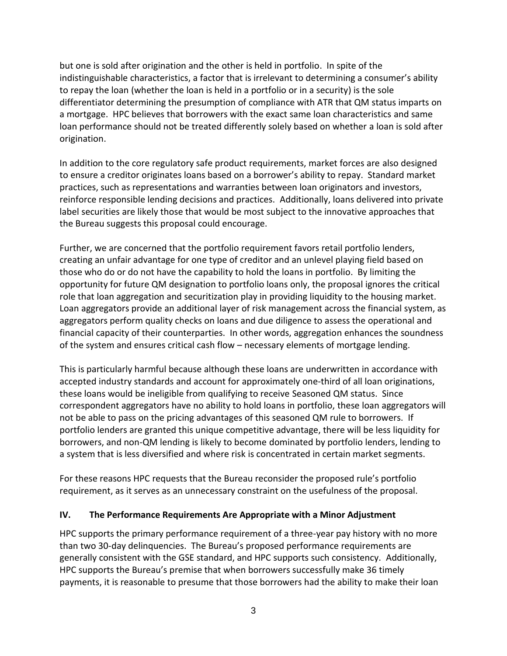but one is sold after origination and the other is held in portfolio. In spite of the indistinguishable characteristics, a factor that is irrelevant to determining a consumer's ability to repay the loan (whether the loan is held in a portfolio or in a security) is the sole differentiator determining the presumption of compliance with ATR that QM status imparts on a mortgage. HPC believes that borrowers with the exact same loan characteristics and same loan performance should not be treated differently solely based on whether a loan is sold after origination.

In addition to the core regulatory safe product requirements, market forces are also designed to ensure a creditor originates loans based on a borrower's ability to repay. Standard market practices, such as representations and warranties between loan originators and investors, reinforce responsible lending decisions and practices. Additionally, loans delivered into private label securities are likely those that would be most subject to the innovative approaches that the Bureau suggests this proposal could encourage.

Further, we are concerned that the portfolio requirement favors retail portfolio lenders, creating an unfair advantage for one type of creditor and an unlevel playing field based on those who do or do not have the capability to hold the loans in portfolio. By limiting the opportunity for future QM designation to portfolio loans only, the proposal ignores the critical role that loan aggregation and securitization play in providing liquidity to the housing market. Loan aggregators provide an additional layer of risk management across the financial system, as aggregators perform quality checks on loans and due diligence to assess the operational and financial capacity of their counterparties. In other words, aggregation enhances the soundness of the system and ensures critical cash flow – necessary elements of mortgage lending.

This is particularly harmful because although these loans are underwritten in accordance with accepted industry standards and account for approximately one-third of all loan originations, these loans would be ineligible from qualifying to receive Seasoned QM status. Since correspondent aggregators have no ability to hold loans in portfolio, these loan aggregators will not be able to pass on the pricing advantages of this seasoned QM rule to borrowers. If portfolio lenders are granted this unique competitive advantage, there will be less liquidity for borrowers, and non-QM lending is likely to become dominated by portfolio lenders, lending to a system that is less diversified and where risk is concentrated in certain market segments.

For these reasons HPC requests that the Bureau reconsider the proposed rule's portfolio requirement, as it serves as an unnecessary constraint on the usefulness of the proposal.

### **IV. The Performance Requirements Are Appropriate with a Minor Adjustment**

HPC supports the primary performance requirement of a three-year pay history with no more than two 30-day delinquencies. The Bureau's proposed performance requirements are generally consistent with the GSE standard, and HPC supports such consistency. Additionally, HPC supports the Bureau's premise that when borrowers successfully make 36 timely payments, it is reasonable to presume that those borrowers had the ability to make their loan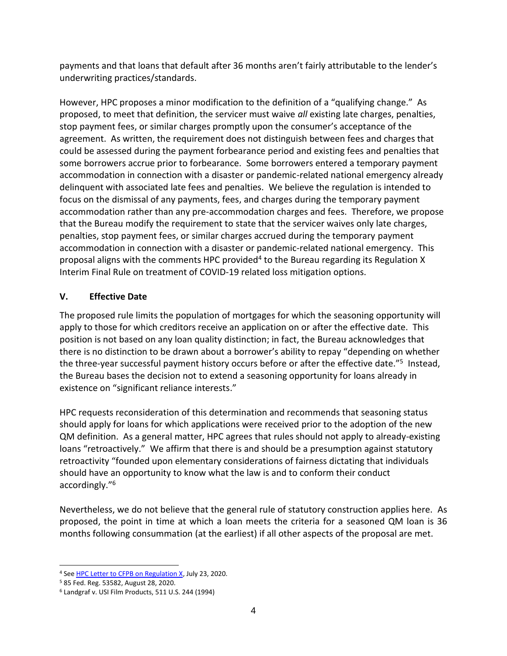payments and that loans that default after 36 months aren't fairly attributable to the lender's underwriting practices/standards.

However, HPC proposes a minor modification to the definition of a "qualifying change." As proposed, to meet that definition, the servicer must waive *all* existing late charges, penalties, stop payment fees, or similar charges promptly upon the consumer's acceptance of the agreement. As written, the requirement does not distinguish between fees and charges that could be assessed during the payment forbearance period and existing fees and penalties that some borrowers accrue prior to forbearance. Some borrowers entered a temporary payment accommodation in connection with a disaster or pandemic-related national emergency already delinquent with associated late fees and penalties. We believe the regulation is intended to focus on the dismissal of any payments, fees, and charges during the temporary payment accommodation rather than any pre-accommodation charges and fees. Therefore, we propose that the Bureau modify the requirement to state that the servicer waives only late charges, penalties, stop payment fees, or similar charges accrued during the temporary payment accommodation in connection with a disaster or pandemic-related national emergency. This proposal aligns with the comments HPC provided<sup>4</sup> to the Bureau regarding its Regulation X Interim Final Rule on treatment of COVID-19 related loss mitigation options.

## **V. Effective Date**

The proposed rule limits the population of mortgages for which the seasoning opportunity will apply to those for which creditors receive an application on or after the effective date. This position is not based on any loan quality distinction; in fact, the Bureau acknowledges that there is no distinction to be drawn about a borrower's ability to repay "depending on whether the three-year successful payment history occurs before or after the effective date.<sup>"5</sup> Instead, the Bureau bases the decision not to extend a seasoning opportunity for loans already in existence on "significant reliance interests."

HPC requests reconsideration of this determination and recommends that seasoning status should apply for loans for which applications were received prior to the adoption of the new QM definition. As a general matter, HPC agrees that rules should not apply to already-existing loans "retroactively." We affirm that there is and should be a presumption against statutory retroactivity "founded upon elementary considerations of fairness dictating that individuals should have an opportunity to know what the law is and to conform their conduct accordingly." 6

Nevertheless, we do not believe that the general rule of statutory construction applies here. As proposed, the point in time at which a loan meets the criteria for a seasoned QM loan is 36 months following consummation (at the earliest) if all other aspects of the proposal are met.

<sup>4</sup> Se[e HPC Letter to CFPB on Regulation X,](https://fbb0ab68-1668-4db6-9365-051035190b71.filesusr.com/ugd/d315af_a6d586b618af49678396abae880c4ca7.pdf) July 23, 2020.

<sup>5</sup> 85 Fed. Reg. 53582, August 28, 2020.

<sup>6</sup> Landgraf v. USI Film Products, 511 U.S. 244 (1994)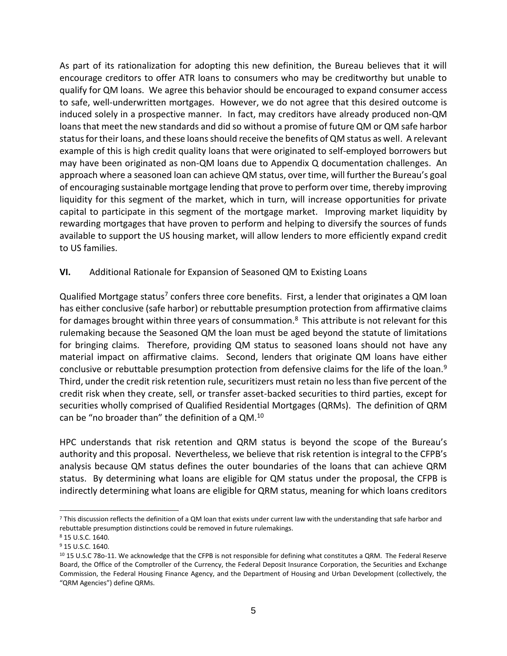As part of its rationalization for adopting this new definition, the Bureau believes that it will encourage creditors to offer ATR loans to consumers who may be creditworthy but unable to qualify for QM loans. We agree this behavior should be encouraged to expand consumer access to safe, well-underwritten mortgages. However, we do not agree that this desired outcome is induced solely in a prospective manner. In fact, may creditors have already produced non-QM loans that meet the new standards and did so without a promise of future QM or QM safe harbor status for their loans, and these loans should receive the benefits of QM status as well. A relevant example of this is high credit quality loans that were originated to self-employed borrowers but may have been originated as non-QM loans due to Appendix Q documentation challenges. An approach where a seasoned loan can achieve QM status, over time, will further the Bureau's goal of encouraging sustainable mortgage lending that prove to perform over time, thereby improving liquidity for this segment of the market, which in turn, will increase opportunities for private capital to participate in this segment of the mortgage market. Improving market liquidity by rewarding mortgages that have proven to perform and helping to diversify the sources of funds available to support the US housing market, will allow lenders to more efficiently expand credit to US families.

#### **VI.** Additional Rationale for Expansion of Seasoned QM to Existing Loans

Qualified Mortgage status<sup>7</sup> confers three core benefits. First, a lender that originates a QM loan has either conclusive (safe harbor) or rebuttable presumption protection from affirmative claims for damages brought within three years of consummation.<sup>8</sup> This attribute is not relevant for this rulemaking because the Seasoned QM the loan must be aged beyond the statute of limitations for bringing claims. Therefore, providing QM status to seasoned loans should not have any material impact on affirmative claims. Second, lenders that originate QM loans have either conclusive or rebuttable presumption protection from defensive claims for the life of the loan.<sup>9</sup> Third, under the credit risk retention rule, securitizers must retain no less than five percent of the credit risk when they create, sell, or transfer asset-backed securities to third parties, except for securities wholly comprised of Qualified Residential Mortgages (QRMs). The definition of QRM can be "no broader than" the definition of a QM.<sup>10</sup>

HPC understands that risk retention and QRM status is beyond the scope of the Bureau's authority and this proposal. Nevertheless, we believe that risk retention is integral to the CFPB's analysis because QM status defines the outer boundaries of the loans that can achieve QRM status. By determining what loans are eligible for QM status under the proposal, the CFPB is indirectly determining what loans are eligible for QRM status, meaning for which loans creditors

<sup>7</sup> This discussion reflects the definition of a QM loan that exists under current law with the understanding that safe harbor and rebuttable presumption distinctions could be removed in future rulemakings.

<sup>8</sup> 15 U.S.C. 1640.

<sup>9</sup> 15 U.S.C. 1640.

<sup>10</sup> 15 U.S.C 78o-11. We acknowledge that the CFPB is not responsible for defining what constitutes a QRM. The Federal Reserve Board, the Office of the Comptroller of the Currency, the Federal Deposit Insurance Corporation, the Securities and Exchange Commission, the Federal Housing Finance Agency, and the Department of Housing and Urban Development (collectively, the "QRM Agencies") define QRMs.